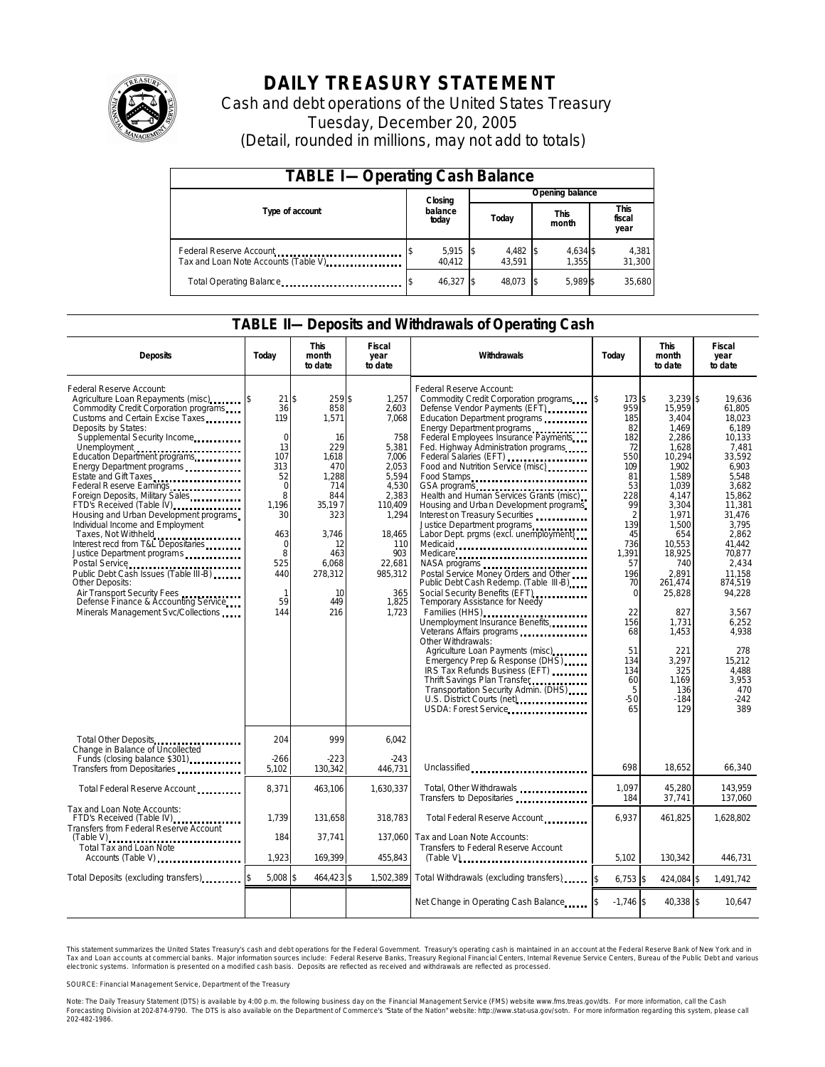

## **DAILY TREASURY STATEMENT**

Cash and debt operations of the United States Treasury Tuesday, December 20, 2005 (Detail, rounded in millions, may not add to totals)

| <b>TABLE I-Operating Cash Balance</b>                            |  |                  |  |                 |  |                      |  |                               |
|------------------------------------------------------------------|--|------------------|--|-----------------|--|----------------------|--|-------------------------------|
|                                                                  |  | Closing          |  | Opening balance |  |                      |  |                               |
| Type of account                                                  |  | balance<br>today |  | Today           |  | <b>This</b><br>month |  | <b>This</b><br>fiscal<br>year |
| Federal Reserve Account<br>Tax and Loan Note Accounts (Table V). |  | 5,915<br>40.412  |  | 4,482<br>43.591 |  | 4,634 \$<br>1.355    |  | 4,381<br>31,300               |
| Total Operating Balance                                          |  | 46.327 \$        |  | 48,073          |  | 5.989 \$             |  | 35,680                        |

#### **TABLE II—Deposits and Withdrawals of Operating Cash**

| <b>Deposits</b>                                                                                                                                                                                                                                                                                                                                                                                                                                                                                                                                                                                                                                                                                                                                              | Today                                                                                                                                                                  | <b>This</b><br>month<br>to date                                                                                                                          | Fiscal<br>year<br>to date                                                                                                                                                      | Withdrawals<br>Todav                                                                                                                                                                                                                                                                                                                                                                                                                                                                                                                                                                                                                                                                                                                                                                                                                                                                                                                                                                                                                                                                |                                                                                                                                                                                                                | <b>This</b><br>month<br>to date                                                                                                                                                                                                                                                    | <b>Fiscal</b><br>year<br>to date                                                                                                                                                                                                                                                              |
|--------------------------------------------------------------------------------------------------------------------------------------------------------------------------------------------------------------------------------------------------------------------------------------------------------------------------------------------------------------------------------------------------------------------------------------------------------------------------------------------------------------------------------------------------------------------------------------------------------------------------------------------------------------------------------------------------------------------------------------------------------------|------------------------------------------------------------------------------------------------------------------------------------------------------------------------|----------------------------------------------------------------------------------------------------------------------------------------------------------|--------------------------------------------------------------------------------------------------------------------------------------------------------------------------------|-------------------------------------------------------------------------------------------------------------------------------------------------------------------------------------------------------------------------------------------------------------------------------------------------------------------------------------------------------------------------------------------------------------------------------------------------------------------------------------------------------------------------------------------------------------------------------------------------------------------------------------------------------------------------------------------------------------------------------------------------------------------------------------------------------------------------------------------------------------------------------------------------------------------------------------------------------------------------------------------------------------------------------------------------------------------------------------|----------------------------------------------------------------------------------------------------------------------------------------------------------------------------------------------------------------|------------------------------------------------------------------------------------------------------------------------------------------------------------------------------------------------------------------------------------------------------------------------------------|-----------------------------------------------------------------------------------------------------------------------------------------------------------------------------------------------------------------------------------------------------------------------------------------------|
| Federal Reserve Account:<br>Agriculture Loan Repayments (misc)<br>Commodity Credit Corporation programs<br>Customs and Certain Excise Taxes<br>Deposits by States:<br>Supplemental Security Income<br>Unemployment<br>Education Department programs<br>Energy Department programs<br>Estate and Gift Taxes<br>Federal Reserve Earnings<br>Foreign Deposits, Military Sales<br>FTD's Received (Table IV)<br>Housing and Urban Development programs<br>Individual Income and Employment<br>Taxes, Not Withheld<br>Interest recd from T&L Depositaries<br>Justice Department programs<br>Public Debt Cash Issues (Table III-B)<br>Other Deposits:<br>Air Transport Security Fees<br>Defense Finance & Accounting Service<br>Minerals Management Svc/Collections | $21$ \$<br>36<br>119<br>$\mathbf 0$<br>13<br>107<br>313<br>52<br>$\overline{0}$<br>8<br>1.196<br>30<br>463<br>$\Omega$<br>8<br>525<br>440<br>$\mathbf{1}$<br>59<br>144 | 259\$<br>858<br>1,571<br>16<br>229<br>1.618<br>470<br>1.288<br>714<br>844<br>35.197<br>323<br>3.746<br>12<br>463<br>6,068<br>278,312<br>10<br>449<br>216 | 1.257<br>2,603<br>7,068<br>758<br>5,381<br>7,006<br>2,053<br>5.594<br>4,530<br>2,383<br>110,409<br>1,294<br>18,465<br>110<br>903<br>22,681<br>985,312<br>365<br>1,825<br>1,723 | Federal Reserve Account:<br>Commodity Credit Corporation programs<br>Defense Vendor Payments (EFT)<br>Education Department programs<br>Energy Department programs<br>Federal Employees Insurance Payments<br>Fed. Highway Administration programs<br>Federal Salaries (EFT)<br>Food and Nutrition Service (misc)<br>Food Stamps<br>Health and Human Services Grants (misc)<br>Housing and Urban Development programs<br>Interest on Treasury Securities<br>Justice Department programs<br>Labor Dept. prgms (excl. unemployment)<br>Medicaid<br>Medicare<br>Postal Service Money Orders and Other<br>Public Debt Cash Redemp. (Table III-B)<br>Social Security Benefits (EFT)<br><br>Temporary Assistance for Needy<br>Families (HHS)<br>Unemployment Insurance Benefits<br>Veterans Affairs programs<br>Other Withdrawals:<br>Agriculture Loan Payments (misc)<br>Emergency Prep & Response (DHS)<br>IRS Tax Refunds Business (EFT)<br>Thrift Savings Plan Transfer<br>Transportation Security Admin. (DHS)<br>U.S. District Courts (net) <b>Community</b><br>USDA: Forest Service | 173S<br>959<br>185<br>82<br>182<br>72<br>550<br>109<br>81<br>53<br>228<br>99<br>2<br>139<br>45<br>736<br>1,391<br>57<br>196<br>70<br>$\Omega$<br>22<br>156<br>68<br>51<br>134<br>134<br>60<br>5<br>$-50$<br>65 | $3.239$ \$<br>15,959<br>3,404<br>1,469<br>2,286<br>1,628<br>10,294<br>1,902<br>1.589<br>1,039<br>4,147<br>3,304<br>1,971<br>1,500<br>654<br>10.553<br>18,925<br>740<br>2,891<br>261,474<br>25,828<br>827<br>1.731<br>1,453<br>221<br>3,297<br>325<br>1,169<br>136<br>$-184$<br>129 | 19.636<br>61,805<br>18.023<br>6.189<br>10,133<br>7,481<br>33.592<br>6.903<br>5.548<br>3,682<br>15,862<br>11,381<br>31,476<br>3.795<br>2.862<br>41.442<br>70,877<br>2,434<br>11,158<br>874,519<br>94,228<br>3.567<br>6.252<br>4,938<br>278<br>15,212<br>4.488<br>3.953<br>470<br>$-242$<br>389 |
| Total Other Deposits<br>Change in Balance of Uncollected                                                                                                                                                                                                                                                                                                                                                                                                                                                                                                                                                                                                                                                                                                     | 204<br>$-266$                                                                                                                                                          | 999<br>$-223$                                                                                                                                            | 6,042<br>$-243$                                                                                                                                                                |                                                                                                                                                                                                                                                                                                                                                                                                                                                                                                                                                                                                                                                                                                                                                                                                                                                                                                                                                                                                                                                                                     |                                                                                                                                                                                                                |                                                                                                                                                                                                                                                                                    |                                                                                                                                                                                                                                                                                               |
| Transfers from Depositaries                                                                                                                                                                                                                                                                                                                                                                                                                                                                                                                                                                                                                                                                                                                                  | 5,102                                                                                                                                                                  | 130,342                                                                                                                                                  | 446,731                                                                                                                                                                        | Unclassified                                                                                                                                                                                                                                                                                                                                                                                                                                                                                                                                                                                                                                                                                                                                                                                                                                                                                                                                                                                                                                                                        | 698                                                                                                                                                                                                            | 18.652                                                                                                                                                                                                                                                                             | 66.340                                                                                                                                                                                                                                                                                        |
| Total Federal Reserve Account                                                                                                                                                                                                                                                                                                                                                                                                                                                                                                                                                                                                                                                                                                                                | 8.371                                                                                                                                                                  | 463.106                                                                                                                                                  | 1.630.337                                                                                                                                                                      | Total, Other Withdrawals<br>Transfers to Depositaries                                                                                                                                                                                                                                                                                                                                                                                                                                                                                                                                                                                                                                                                                                                                                                                                                                                                                                                                                                                                                               | 1,097<br>184                                                                                                                                                                                                   | 45,280<br>37,741                                                                                                                                                                                                                                                                   | 143,959<br>137,060                                                                                                                                                                                                                                                                            |
| Tax and Loan Note Accounts:<br>FTD's Received (Table IV)<br>Transfers from Federal Reserve Account                                                                                                                                                                                                                                                                                                                                                                                                                                                                                                                                                                                                                                                           | 1,739                                                                                                                                                                  | 131,658                                                                                                                                                  | 318,783                                                                                                                                                                        | Total Federal Reserve Account                                                                                                                                                                                                                                                                                                                                                                                                                                                                                                                                                                                                                                                                                                                                                                                                                                                                                                                                                                                                                                                       | 6,937                                                                                                                                                                                                          | 461,825                                                                                                                                                                                                                                                                            | 1,628,802                                                                                                                                                                                                                                                                                     |
| $(Table V)$<br>Total Tax and Loan Note<br>Accounts (Table V)                                                                                                                                                                                                                                                                                                                                                                                                                                                                                                                                                                                                                                                                                                 | 184<br>1,923                                                                                                                                                           | 37.741<br>169,399                                                                                                                                        | 137.060<br>455,843                                                                                                                                                             | Tax and Loan Note Accounts:<br>Transfers to Federal Reserve Account<br>$(Table V)$                                                                                                                                                                                                                                                                                                                                                                                                                                                                                                                                                                                                                                                                                                                                                                                                                                                                                                                                                                                                  | 5,102                                                                                                                                                                                                          | 130,342                                                                                                                                                                                                                                                                            | 446,731                                                                                                                                                                                                                                                                                       |
| Total Deposits (excluding transfers)                                                                                                                                                                                                                                                                                                                                                                                                                                                                                                                                                                                                                                                                                                                         | 5.008                                                                                                                                                                  | \$<br>464.423 \$                                                                                                                                         | 1.502.389                                                                                                                                                                      | Total Withdrawals (excluding transfers)                                                                                                                                                                                                                                                                                                                                                                                                                                                                                                                                                                                                                                                                                                                                                                                                                                                                                                                                                                                                                                             | $6,753$ \$                                                                                                                                                                                                     | 424,084 \$                                                                                                                                                                                                                                                                         | 1,491,742                                                                                                                                                                                                                                                                                     |
|                                                                                                                                                                                                                                                                                                                                                                                                                                                                                                                                                                                                                                                                                                                                                              |                                                                                                                                                                        |                                                                                                                                                          |                                                                                                                                                                                | Net Change in Operating Cash Balance                                                                                                                                                                                                                                                                                                                                                                                                                                                                                                                                                                                                                                                                                                                                                                                                                                                                                                                                                                                                                                                | $-1,746$ \$                                                                                                                                                                                                    | 40,338 \$                                                                                                                                                                                                                                                                          | 10,647                                                                                                                                                                                                                                                                                        |

This statement summarizes the United States Treasury's cash and debt operations for the Federal Government. Treasury's operating cash is maintained in an account at the Federal Reserve Bank of New York and in Tax and Loan accounts at commercial banks. Major information sources include: Federal Reserve Banks, Treasury Regional Financial Centers, Internal Revenue Service Centers, Bureau of the Public Debt and various<br>electronic s

SOURCE: Financial Management Service, Department of the Treasury

Note: The Daily Treasury Statement (DTS) is available by 4:00 p.m. the following business day on the Financial Management Service (FMS) website www.fms.treas.gov/dts.<br>Forecasting Division at 202-874-9790. The DTS is also a S) is available by 4:00 p.m. the following business day on the Financial Management Service (FMS) website www.fms.treas.gov/dts. For more information, call the Cash<br>The DTS is also available on the Department of Commerce's